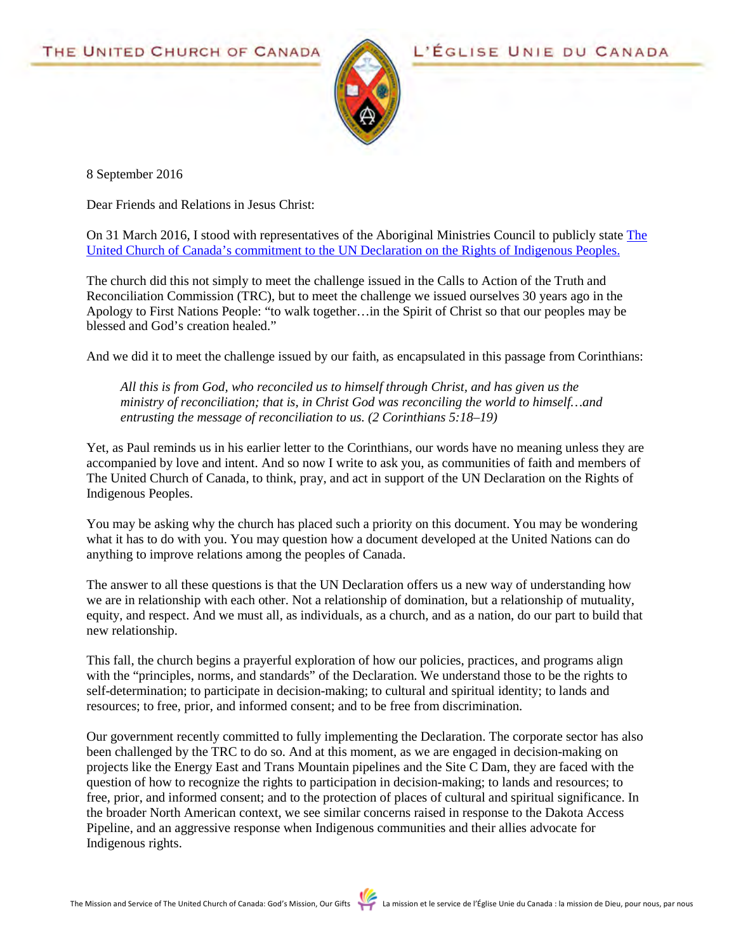

8 September 2016

Dear Friends and Relations in Jesus Christ:

On 31 March 2016, I stood with representatives of the Aboriginal Ministries Council to publicly state [The](http://www.united-church.ca/news/united-church-responds-call-action-un-declaration)  [United Church of Canada's commitment to the UN Declaration on the Rights of Indigenous Peoples.](http://www.united-church.ca/news/united-church-responds-call-action-un-declaration)

The church did this not simply to meet the challenge issued in the Calls to Action of the Truth and Reconciliation Commission (TRC), but to meet the challenge we issued ourselves 30 years ago in the Apology to First Nations People: "to walk together…in the Spirit of Christ so that our peoples may be blessed and God's creation healed."

And we did it to meet the challenge issued by our faith, as encapsulated in this passage from Corinthians:

*All this is from God, who reconciled us to himself through Christ, and has given us the ministry of reconciliation; that is, in Christ God was reconciling the world to himself…and entrusting the message of reconciliation to us. (2 Corinthians 5:18–19)*

Yet, as Paul reminds us in his earlier letter to the Corinthians, our words have no meaning unless they are accompanied by love and intent. And so now I write to ask you, as communities of faith and members of The United Church of Canada, to think, pray, and act in support of the UN Declaration on the Rights of Indigenous Peoples.

You may be asking why the church has placed such a priority on this document. You may be wondering what it has to do with you. You may question how a document developed at the United Nations can do anything to improve relations among the peoples of Canada.

The answer to all these questions is that the UN Declaration offers us a new way of understanding how we are in relationship with each other. Not a relationship of domination, but a relationship of mutuality, equity, and respect. And we must all, as individuals, as a church, and as a nation, do our part to build that new relationship.

This fall, the church begins a prayerful exploration of how our policies, practices, and programs align with the "principles, norms, and standards" of the Declaration. We understand those to be the rights to self-determination; to participate in decision-making; to cultural and spiritual identity; to lands and resources; to free, prior, and informed consent; and to be free from discrimination.

Our government recently committed to fully implementing the Declaration. The corporate sector has also been challenged by the TRC to do so. And at this moment, as we are engaged in decision-making on projects like the Energy East and Trans Mountain pipelines and the Site C Dam, they are faced with the question of how to recognize the rights to participation in decision-making; to lands and resources; to free, prior, and informed consent; and to the protection of places of cultural and spiritual significance. In the broader North American context, we see similar concerns raised in response to the Dakota Access Pipeline, and an aggressive response when Indigenous communities and their allies advocate for Indigenous rights.